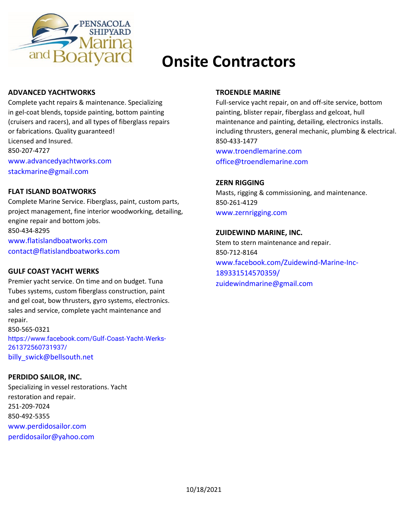

# **Onsite Contractors**

### **ADVANCED YACHTWORKS**

Complete yacht repairs & maintenance. Specializing in gel-coat blends, topside painting, bottom painting (cruisers and racers), and all types of fiberglass repairs or fabrications. Quality guaranteed! Licensed and Insured. 850-207-4727 [www.advancedyachtworks.com](http://www.advancedyachtworks.com/) [stackmarine@gmail.com](mailto:stackmarine@gmail.com)

### **FLAT ISLAND BOATWORKS**

Complete Marine Service. Fiberglass, paint, custom parts, project management, fine interior woodworking, detailing, engine repair and bottom jobs. 850-434-8295 [www.flatislandboatworks.com](http://www.flatislandboatworks.com/) contact@flatislandboatworks.com

### **GULF COAST YACHT WERKS**

Premier yacht service. On time and on budget. Tuna Tubes systems, custom fiberglass construction, paint and gel coat, bow thrusters, gyro systems, electronics. sales and service, complete yacht maintenance and repair. 850-565-0321 [https://www.facebook.com/Gulf](https://www.facebook.com/Gulf‐Coast‐Yacht‐Werks-261372560731937/)‐Coast‐Yacht‐Werks-[261372560731937/](https://www.facebook.com/Gulf‐Coast‐Yacht‐Werks-261372560731937/) [billy\\_swick@bellsouth.net](mailto:billy_swick@bellsouth.net)

# **PERDIDO SAILOR, INC.**

Specializing in vessel restorations. Yacht restoration and repair. 251-209-7024 850-492-5355 [www.perdidosailor.com](http://www.perdidosailor.com/) perdidosailor@yahoo.com

#### **TROENDLE MARINE**

Full-service yacht repair, on and off-site service, bottom painting, blister repair, fiberglass and gelcoat, hull maintenance and painting, detailing, electronics installs. including thrusters, general mechanic, plumbing & electrical. 850-433-1477

[www.troendlemarine.com](http://www.troendlemarine.com/) office@troendlemarine.com

### **ZERN RIGGING**

Masts, rigging & commissioning, and maintenance. 850-261-4129 [www.zernrigging.com](http://www.zernrigging.com/)

#### **ZUIDEWIND MARINE, INC.**

Stem to stern maintenance and repair. 850-712-8164 [www.facebook.com/Zuidewind-Marine-Inc-](http://www.facebook.com/Zuidewind-Marine-Inc)189331514570359/ zuidewindmarine@gmail.com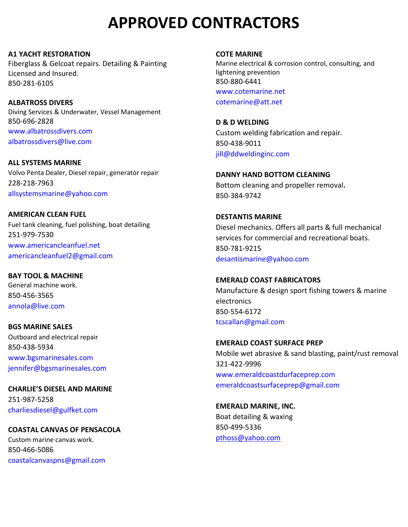**A1 YACHT RESTORATION** Fiberglass & Gelcoat repairs. Detailing & Painting Licensed and Insured. 850-281-6105

**ALBATROSS DIVERS** Diving Services & Underwater, Vessel Management 850-696-2828 [www.albatrossdivers.com](http://www.albatrossdivers.com/) [albatrossdivers@live.com](mailto:albatrossdivers@live.com)

**ALL SYSTEMS MARINE** Volvo Penta Dealer, Diesel repair, generator repair 228-218-7963 allsystemsmarine@yahoo.com

**AMERICAN CLEAN FUEL** Fuel tank cleaning, fuel polishing, boat detailing 251-979-7530 [www.americancleanfuel.net](http://www.americancleanfuel.net/) americancleanfuel2@gmail.com

**BAY TOOL & MACHINE** General machine work. 850-456-3565 [annola@live.com](mailto:annola@live.com)

**BGS MARINE SALES** Outboard and electrical repair 850-438-5934 [www.bgsmarinesales.com](http://www.bgsmarinesales.com/) jennifer@bgsmarinesales.com

**CHARLIE'S DIESEL AND MARINE** 251-987-5258 [charliesdiesel@gulfket.com](mailto:charliesdiesel@gulfket.com)

### **COASTAL CANVAS OF PENSACOLA**

Custom marine canvas work. 850-466-5086 coastalcanvaspns@gmail.com **COTE MARINE**

Marine electrical & corrosion control, consulting, and lightening prevention 850-880-6441 [www.cotemarine.net](http://www.cotemarine.net/) cotemarine@att.net

**D & D WELDING** Custom welding fabrication and repair. 850-438-9011 jill@ddweldinginc.com

**DANNY HAND BOTTOM CLEANING** Bottom cleaning and propeller removal**.** 850-384-9742

**DESTANTIS MARINE**  Diesel mechanics. Offers all parts & full mechanical services for commercial and recreational boats. 850-781-9215 [desantismarine@yahoo.com](mailto:desantismarine@yahoo.com)

**EMERALD COAST FABRICATORS** Manufacture & design sport fishing towers & marine electronics 850-554-6172 [tcscallan@gmail.com](mailto:tcscallan@gmail.com)

**EMERALD COAST SURFACE PREP** Mobile wet abrasive & sand blasting, paint/rust removal 321-422-9996 [www.emeraldcoastdurfaceprep.com](http://www.emeraldcoastdurfaceprep.com/) [emeraldcoastsurfaceprep@gmail.com](mailto:emeraldcoastsurfaceprep@gmail.com)

**EMERALD MARINE, INC.** Boat detailing & waxing 850-499-5336 [pthoss@yahoo.com](mailto:pthoss@yahoo.com)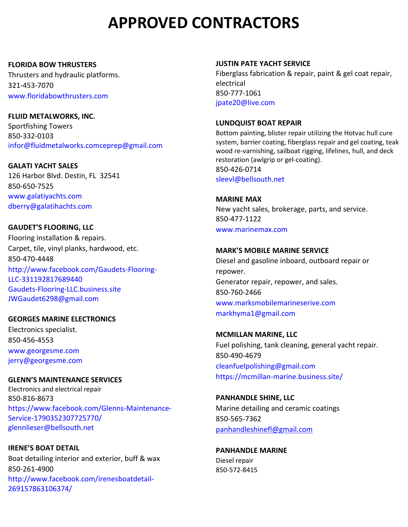#### **FLORIDA BOW THRUSTERS**

Thrusters and hydraulic platforms. 321-453-7070 [www.floridabowthrusters.com](http://www.floridabowthrusters.com/)

**FLUID METALWORKS, INC.** Sportfishing Towers 850-332-0103 infor@fluidmetalworks.comceprep@gmail.com

**GALATI YACHT SALES** 126 Harbor Blvd. Destin, FL 32541 850-650-7525 [www.galatiyachts.com](http://www.galatiyachts.com/) [dberry@galatihachts.com](mailto:dberry@galatihachts.com)

**GAUDET'S FLOORING, LLC** Flooring installation & repairs. Carpet, tile, vinyl planks, hardwood, etc. 850-470-4448 <http://www.facebook.com/Gaudets-Flooring->LLC-331192817689440 Gaudets-Flooring-LLC.business.site JWGaudet6298@gmail.com

# **GEORGES MARINE ELECTRONICS**

Electronics specialist. 850-456-4553 [www.georgesme.com](http://www.georgesme.com/) jerry@georgesme.com

**GLENN'S MAINTENANCE SERVICES**

Electronics and electrical repair 850-816-8673 [https://www.facebook.com/Glenns-Maintenance-](https://www.facebook.com/Glenns-Maintenance-Service-1790352307725770/)[Service-1790352307725770/](https://www.facebook.com/Glenns-Maintenance-Service-1790352307725770/) glennlieser@bellsouth.net

**IRENE'S BOAT DETAIL** Boat detailing interior and exterior, buff & wax 850-261-4900 [http://www.facebook.com/irenesboatdetail-](http://www.facebook.com/irenesboatdetail-269157863106374/)[269157863106374/](http://www.facebook.com/irenesboatdetail-269157863106374/)

### **JUSTIN PATE YACHT SERVICE**

Fiberglass fabrication & repair, paint & gel coat repair, electrical 850-777-1061 [jpate20@live.com](mailto:jpate20@live.com)

# **LUNDQUIST BOAT REPAIR**

Bottom painting, blister repair utilizing the Hotvac hull cure system, barrier coating, fiberglass repair and gel coating, teak wood re-varnishing, sailboat rigging, lifelines, hull, and deck restoration (awlgrip or gel-coating). 850-426-0714 sleevl@bellsouth.net

**MARINE MAX** New yacht sales, brokerage, parts, and service. 850-477-1122 [www.marinemax.com](http://www.marinemax.com/)

# **MARK'S MOBILE MARINE SERVICE**

Diesel and gasoline inboard, outboard repair or repower. Generator repair, repower, and sales. 850-760-2466 [www.marksmobilemarineserive.com](http://www.marksmobilemarineserive.com/) [markhyma1@gmail.com](mailto:arkhyma1@gmail.com)

**MCMILLAN MARINE, LLC**

Fuel polishing, tank cleaning, general yacht repair. 850-490-4679 [cleanfuelpolishing@gmail.com](mailto:cleanfuelpolishing@gmail.com) <https://mcmillan-marine.business.site/>

**PANHANDLE SHINE, LLC** Marine detailing and ceramic coatings

850-565-7362 [panhandleshinefl@gmail.com](mailto:panhandleshinefl@gmail.com)

**PANHANDLE MARINE** Diesel repair 850-572-8415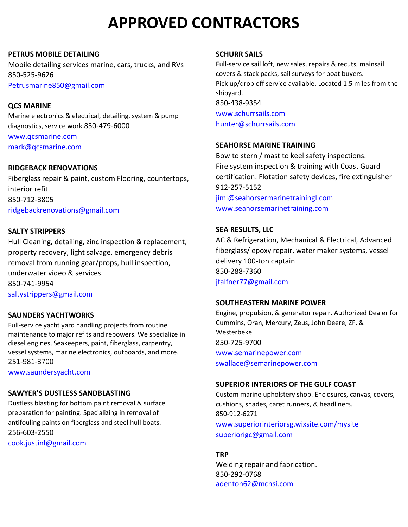#### **PETRUS MOBILE DETAILING**

Mobile detailing services marine, cars, trucks, and RVs 850-525-9626 Petrusmarine850@gmail.com

### **QCS MARINE**

Marine electronics & electrical, detailing, system & pump diagnostics, service work.850-479-6000

[www.qcsmarine.com](http://www.qcsmarine.com/) [mark@qcsmarine.com](mailto:mark@qcsmarine.com)

# **RIDGEBACK RENOVATIONS**

Fiberglass repair & paint, custom Flooring, countertops, interior refit. 850-712-3805 ridgebackrenovations@gmail.com

### **SALTY STRIPPERS**

Hull Cleaning, detailing, zinc inspection & replacement, property recovery, light salvage, emergency debris removal from running gear/props, hull inspection, underwater video & services. 850-741-9954 [saltystrippers@gmail.com](mailto:saltystrippers@gmail.com)

# **SAUNDERS YACHTWORKS**

Full-service yacht yard handling projects from routine maintenance to major refits and repowers. We specialize in diesel engines, Seakeepers, paint, fiberglass, carpentry, vessel systems, marine electronics, outboards, and more. 251-981-3700

[www.saundersyacht.com](http://www.saundersyacht.com/)

# **SAWYER'S DUSTLESS SANDBLASTING**

Dustless blasting for bottom paint removal & surface preparation for painting. Specializing in removal of antifouling paints on fiberglass and steel hull boats. 256-603-2550 cook.justinl@gmail.com

# **SCHURR SAILS**

Full-service sail loft, new sales, repairs & recuts, mainsail covers & stack packs, sail surveys for boat buyers. Pick up/drop off service available. Located 1.5 miles from the shipyard. 850-438-9354 [www.schurrsails.com](http://www.schurrsails.com/)

hunter@schurrsails.com

# **SEAHORSE MARINE TRAINING**

Bow to stern / mast to keel safety inspections. Fire system inspection & training with Coast Guard certification. Flotation safety devices, fire extinguisher 912-257-5152 [jiml@seahorsermarinetrainingl.com](mailto:jiml@seahorsermarinetrainingl.com) [www.s](http://www.facebook.com/)eahorsemarinetraining.com

# **SEA RESULTS, LLC**

AC & Refrigeration, Mechanical & Electrical, Advanced fiberglass/ epoxy repair, water maker systems, vessel delivery 100-ton captain 850-288-7360 [jfalfner77@gmail.com](mailto:jfalfner77@gmail.com)

### **SOUTHEASTERN MARINE POWER**

Engine, propulsion, & generator repair. Authorized Dealer for Cummins, Oran, Mercury, Zeus, John Deere, ZF, & Westerbeke 850-725-9700 [www.semarinepower.com](http://www.semarinepower.com/) swallace@semarinepower.com

### **SUPERIOR INTERIORS OF THE GULF COAST**

Custom marine upholstery shop. Enclosures, canvas, covers, cushions, shades, caret runners, & headliners. 850-912-6271 [www.superiorinteriorsg.wixsite.com/mysite](http://www.superiorinteriorsg.wixsite.com/mysite) [superiorigc@gmail.com](mailto:superiorigc@gmail.com)

### **TRP**

Welding repair and fabrication. 850-292-0768 [adenton62@mchsi.com](mailto:adenton62@mchsi.com)